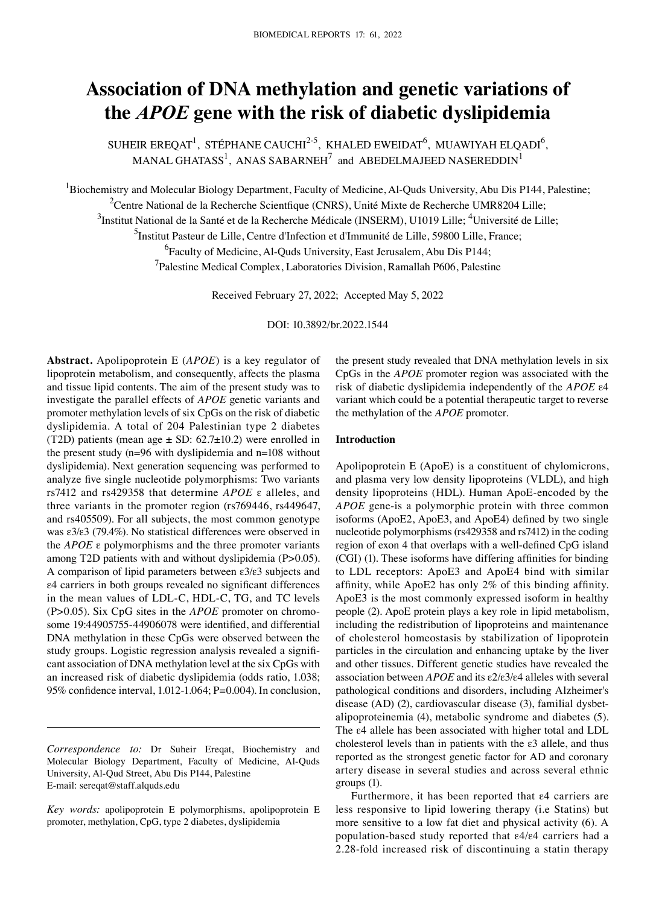# **Association of DNA methylation and genetic variations of the** *APOE* **gene with the risk of diabetic dyslipidemia**

SUHEIR EREQAT<sup>1</sup>, STÉPHANE CAUCHI<sup>2-5</sup>, KHALED EWEIDAT<sup>6</sup>, MUAWIYAH ELQADI<sup>6</sup>, MANAL GHATASS $^1$ , ANAS SABARNEH $^7$  and ABEDELMAJEED NASEREDDIN $^1$ 

<sup>1</sup>Biochemistry and Molecular Biology Department, Faculty of Medicine, Al-Quds University, Abu Dis P144, Palestine; <sup>2</sup>Centre National de la Recherche Scientfique (CNRS), Unité Mixte de Recherche UMR8204 Lille;  $^3$ Institut National de la Santé et de la Recherche Médicale (INSERM), U1019 Lille;  $^4$ Université de Lille; <sup>5</sup>Institut Pasteur de Lille, Centre d'Infection et d'Immunité de Lille, 59800 Lille, France; <sup>6</sup> Faculty of Medicine, Al-Quds University, East Jerusalem, Abu Dis P144; <sup>7</sup>Palestine Medical Complex, Laboratories Division, Ramallah P606, Palestine

Received February 27, 2022; Accepted May 5, 2022

DOI: 10.3892/br.2022.1544

**Abstract.** Apolipoprotein E (*APOE*) is a key regulator of lipoprotein metabolism, and consequently, affects the plasma and tissue lipid contents. The aim of the present study was to investigate the parallel effects of *APOE* genetic variants and promoter methylation levels of six CpGs on the risk of diabetic dyslipidemia. A total of 204 Palestinian type 2 diabetes (T2D) patients (mean age  $\pm$  SD: 62.7 $\pm$ 10.2) were enrolled in the present study (n=96 with dyslipidemia and n=108 without dyslipidemia). Next generation sequencing was performed to analyze five single nucleotide polymorphisms: Two variants rs7412 and rs429358 that determine *APOE* ε alleles, and three variants in the promoter region (rs769446, rs449647, and rs405509). For all subjects, the most common genotype was ε3/ε3 (79.4%). No statistical differences were observed in the *APOE* ε polymorphisms and the three promoter variants among T2D patients with and without dyslipidemia (P>0.05). A comparison of lipid parameters between ε3/ε3 subjects and ε4 carriers in both groups revealed no significant differences in the mean values of LDL-C, HDL-C, TG, and TC levels (P>0.05). Six CpG sites in the *APOE* promoter on chromosome 19:44905755‑44906078 were identified, and differential DNA methylation in these CpGs were observed between the study groups. Logistic regression analysis revealed a significant association of DNA methylation level at the six CpGs with an increased risk of diabetic dyslipidemia (odds ratio, 1.038; 95% confidence interval, 1.012‑1.064; P=0.004). In conclusion,

*Correspondence to:* Dr Suheir Ereqat, Biochemistry and Molecular Biology Department, Faculty of Medicine, Al-Quds University, Al‑Qud Street, Abu Dis P144, Palestine E‑mail: sereqat@staff.alquds.edu

*Key words:* apolipoprotein E polymorphisms, apolipoprotein E promoter, methylation, CpG, type 2 diabetes, dyslipidemia

the present study revealed that DNA methylation levels in six CpGs in the *APOE* promoter region was associated with the risk of diabetic dyslipidemia independently of the *APOE* ε4 variant which could be a potential therapeutic target to reverse the methylation of the *APOE* promoter.

#### **Introduction**

Apolipoprotein E (ApoE) is a constituent of chylomicrons, and plasma very low density lipoproteins (VLDL), and high density lipoproteins (HDL). Human ApoE‑encoded by the *APOE* gene‑is a polymorphic protein with three common isoforms (ApoE2, ApoE3, and ApoE4) defined by two single nucleotide polymorphisms (rs429358 and rs7412) in the coding region of exon 4 that overlaps with a well-defined CpG island (CGI) (1). These isoforms have differing affinities for binding to LDL receptors: ApoE3 and ApoE4 bind with similar affinity, while ApoE2 has only 2% of this binding affinity. ApoE3 is the most commonly expressed isoform in healthy people (2). ApoE protein plays a key role in lipid metabolism, including the redistribution of lipoproteins and maintenance of cholesterol homeostasis by stabilization of lipoprotein particles in the circulation and enhancing uptake by the liver and other tissues. Different genetic studies have revealed the association between *APOE* and its ε2/ε3/ε4 alleles with several pathological conditions and disorders, including Alzheimer's disease (AD) (2), cardiovascular disease (3), familial dysbetalipoproteinemia (4), metabolic syndrome and diabetes (5). The ε4 allele has been associated with higher total and LDL cholesterol levels than in patients with the ε3 allele, and thus reported as the strongest genetic factor for AD and coronary artery disease in several studies and across several ethnic groups (1).

Furthermore, it has been reported that ε4 carriers are less responsive to lipid lowering therapy (i.e Statins) but more sensitive to a low fat diet and physical activity (6). A population‑based study reported that ε4/ε4 carriers had a 2.28‑fold increased risk of discontinuing a statin therapy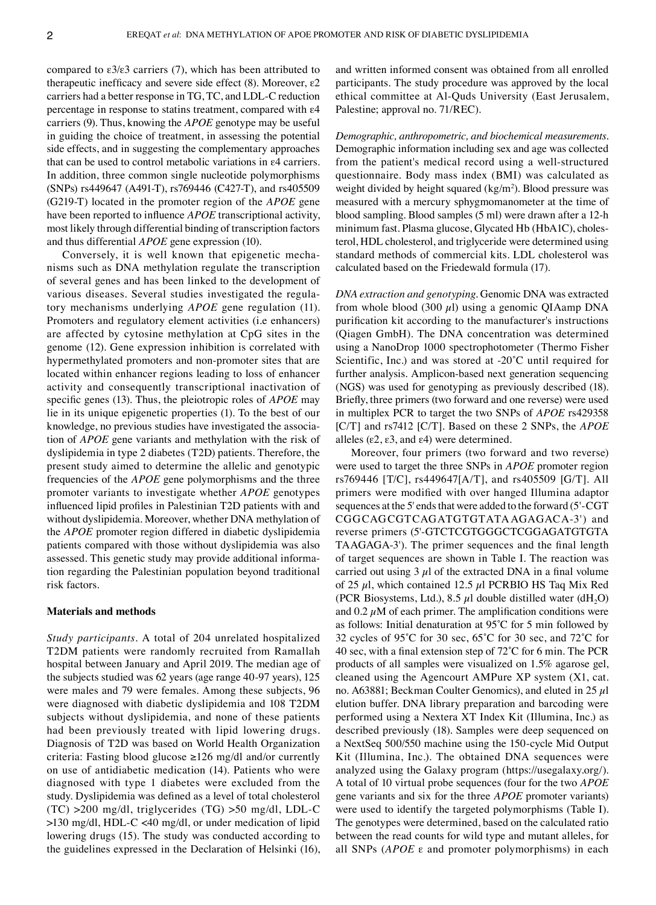compared to ε3/ε3 carriers (7), which has been attributed to therapeutic inefficacy and severe side effect  $(8)$ . Moreover,  $\varepsilon$ 2 carriers had a better response in TG, TC, and LDL‑C reduction percentage in response to statins treatment, compared with ε4 carriers (9). Thus, knowing the *APOE* genotype may be useful in guiding the choice of treatment, in assessing the potential side effects, and in suggesting the complementary approaches that can be used to control metabolic variations in ε4 carriers. In addition, three common single nucleotide polymorphisms (SNPs) rs449647 (A491‑T), rs769446 (C427‑T), and rs405509 (G219‑T) located in the promoter region of the *APOE* gene have been reported to influence *APOE* transcriptional activity, most likely through differential binding of transcription factors and thus differential *APOE* gene expression (10).

Conversely, it is well known that epigenetic mechanisms such as DNA methylation regulate the transcription of several genes and has been linked to the development of various diseases. Several studies investigated the regulatory mechanisms underlying *APOE* gene regulation (11). Promoters and regulatory element activities (i.e enhancers) are affected by cytosine methylation at CpG sites in the genome (12). Gene expression inhibition is correlated with hypermethylated promoters and non‑promoter sites that are located within enhancer regions leading to loss of enhancer activity and consequently transcriptional inactivation of specific genes (13). Thus, the pleiotropic roles of *APOE* may lie in its unique epigenetic properties (1). To the best of our knowledge, no previous studies have investigated the association of *APOE* gene variants and methylation with the risk of dyslipidemia in type 2 diabetes (T2D) patients. Therefore, the present study aimed to determine the allelic and genotypic frequencies of the *APOE* gene polymorphisms and the three promoter variants to investigate whether *APOE* genotypes influenced lipid profiles in Palestinian T2D patients with and without dyslipidemia. Moreover, whether DNA methylation of the *APOE* promoter region differed in diabetic dyslipidemia patients compared with those without dyslipidemia was also assessed. This genetic study may provide additional information regarding the Palestinian population beyond traditional risk factors.

#### **Materials and methods**

*Study participants.* A total of 204 unrelated hospitalized T2DM patients were randomly recruited from Ramallah hospital between January and April 2019. The median age of the subjects studied was 62 years (age range 40‑97 years), 125 were males and 79 were females. Among these subjects, 96 were diagnosed with diabetic dyslipidemia and 108 T2DM subjects without dyslipidemia, and none of these patients had been previously treated with lipid lowering drugs. Diagnosis of T2D was based on World Health Organization criteria: Fasting blood glucose ≥126 mg/dl and/or currently on use of antidiabetic medication (14). Patients who were diagnosed with type 1 diabetes were excluded from the study. Dyslipidemia was defined as a level of total cholesterol  $(TC) > 200$  mg/dl, triglycerides  $(TG) > 50$  mg/dl, LDL-C >130 mg/dl, HDL‑C <40 mg/dl, or under medication of lipid lowering drugs (15). The study was conducted according to the guidelines expressed in the Declaration of Helsinki (16), and written informed consent was obtained from all enrolled participants. The study procedure was approved by the local ethical committee at Al‑Quds University (East Jerusalem, Palestine; approval no. 71/REC).

*Demographic, anthropometric, and biochemical measurements.*  Demographic information including sex and age was collected from the patient's medical record using a well‑structured questionnaire. Body mass index (BMI) was calculated as weight divided by height squared  $(kg/m<sup>2</sup>)$ . Blood pressure was measured with a mercury sphygmomanometer at the time of blood sampling. Blood samples (5 ml) were drawn after a 12‑h minimum fast. Plasma glucose, Glycated Hb (HbA1C), cholesterol, HDL cholesterol, and triglyceride were determined using standard methods of commercial kits. LDL cholesterol was calculated based on the Friedewald formula (17).

*DNA extraction and genotyping.* Genomic DNA was extracted from whole blood (300  $\mu$ l) using a genomic QIAamp DNA purification kit according to the manufacturer's instructions (Qiagen GmbH). The DNA concentration was determined using a NanoDrop 1000 spectrophotometer (Thermo Fisher Scientific, Inc.) and was stored at -20<sup>°</sup>C until required for further analysis. Amplicon-based next generation sequencing (NGS) was used for genotyping as previously described (18). Briefly, three primers (two forward and one reverse) were used in multiplex PCR to target the two SNPs of *APOE* rs429358 [C/T] and rs7412 [C/T]. Based on these 2 SNPs, the *APOE* alleles (ε2, ε3, and ε4) were determined.

Moreover, four primers (two forward and two reverse) were used to target the three SNPs in *APOE* promoter region rs769446 [T/C], rs449647[A/T], and rs405509 [G/T]. All primers were modified with over hanged Illumina adaptor sequences at the 5' ends that were added to the forward (5'‑CGT CGGCAGCGTCAGATGTGTATAAGAGACA‑3') and reverse primers (5'‑GTCTCGTGGGCTCGGAGATGTGTA TAAGAGA-3'). The primer sequences and the final length of target sequences are shown in Table I. The reaction was carried out using  $3 \mu$ l of the extracted DNA in a final volume of 25  $\mu$ l, which contained 12.5  $\mu$ l PCRBIO HS Taq Mix Red (PCR Biosystems, Ltd.), 8.5  $\mu$ l double distilled water (dH<sub>2</sub>O) and  $0.2 \mu$ M of each primer. The amplification conditions were as follows: Initial denaturation at 95˚C for 5 min followed by 32 cycles of 95˚C for 30 sec, 65˚C for 30 sec, and 72˚C for 40 sec, with a final extension step of 72˚C for 6 min. The PCR products of all samples were visualized on 1.5% agarose gel, cleaned using the Agencourt AMPure XP system (X1, cat. no. A63881; Beckman Coulter Genomics), and eluted in 25  $\mu$ l elution buffer. DNA library preparation and barcoding were performed using a Nextera XT Index Kit (Illumina, Inc.) as described previously (18). Samples were deep sequenced on a NextSeq 500/550 machine using the 150‑cycle Mid Output Kit (Illumina, Inc.). The obtained DNA sequences were analyzed using the Galaxy program (https://usegalaxy.org/). A total of 10 virtual probe sequences (four for the two *APOE* gene variants and six for the three *APOE* promoter variants) were used to identify the targeted polymorphisms (Table I). The genotypes were determined, based on the calculated ratio between the read counts for wild type and mutant alleles, for all SNPs (*APOE* ε and promoter polymorphisms) in each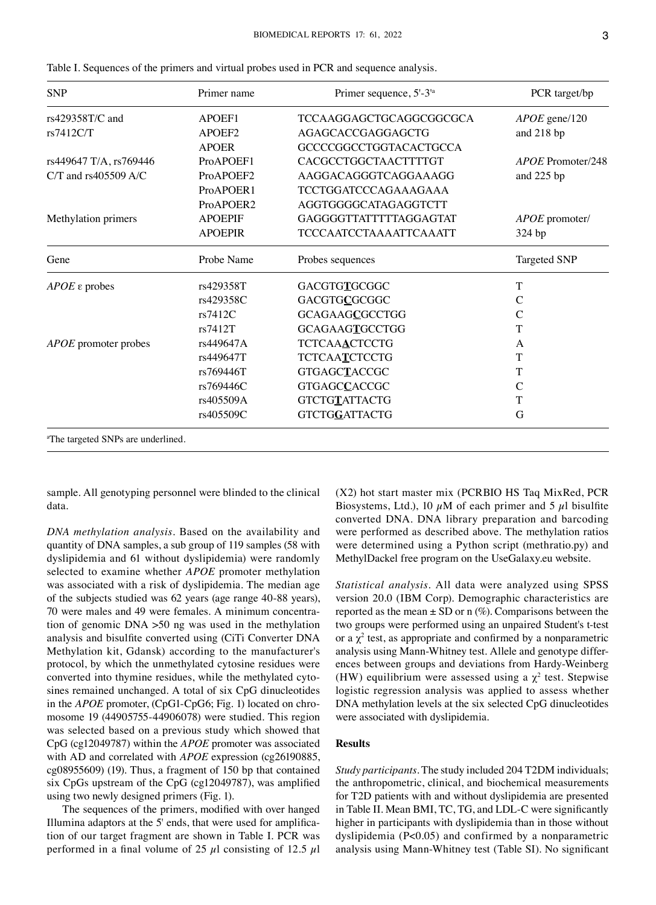| <b>SNP</b>                                     | Primer name        | Primer sequence, 5'-3 <sup>ta</sup> | PCR target/bp            |
|------------------------------------------------|--------------------|-------------------------------------|--------------------------|
| rs429358T/C and                                | APOEF1             | TCCAAGGAGCTGCAGGCGGCGCA             | $APOE$ gene/120          |
| rs7412C/T                                      | APOEF <sub>2</sub> | AGAGCACCGAGGAGCTG                   | and 218 bp               |
|                                                | <b>APOER</b>       | GCCCCGGCCTGGTACACTGCCA              |                          |
| rs449647 T/A, rs769446                         | ProAPOEF1          | CACGCCTGGCTAACTTTTGT                | <i>APOE</i> Promoter/248 |
| $C/T$ and rs405509 A/C                         | ProAPOEF2          | AAGGACAGGGTCAGGAAAGG                | and 225 bp               |
|                                                | ProAPOER1          | <b>TCCTGGATCCCAGAAAGAAA</b>         |                          |
|                                                | ProAPOER2          | AGGTGGGGCATAGAGGTCTT                |                          |
| Methylation primers                            | <b>APOEPIF</b>     | GAGGGGTTATTTTTAGGAGTAT              | APOE promoter/           |
|                                                | <b>APOEPIR</b>     | <b>TCCCAATCCTAAAATTCAAATT</b>       | 324 bp                   |
| Gene                                           | Probe Name         | Probes sequences                    | Targeted SNP             |
| $APOE$ $\varepsilon$ probes                    | rs429358T          | <b>GACGTGTGCGGC</b>                 | Т                        |
|                                                | rs429358C          | <b>GACGTGCGCGGC</b>                 | C                        |
|                                                | rs7412C            | GCAGAAGCGCCTGG                      | $\mathcal{C}$            |
|                                                | rs7412T            | <b>GCAGAAGTGCCTGG</b>               | T                        |
| APOE promoter probes                           | rs449647A          | <b>TCTCAAACTCCTG</b>                | A                        |
|                                                | rs449647T          | <b>TCTCAATCTCCTG</b>                | T                        |
|                                                | rs769446T          | <b>GTGAGCTACCGC</b>                 | T                        |
|                                                | rs769446C          | <b>GTGAGCCACCGC</b>                 | C                        |
|                                                | rs405509A          | <b>GTCTGTATTACTG</b>                | Т                        |
|                                                | rs405509C          | GTCTGGATTACTG                       | G                        |
| <sup>a</sup> The targeted SNPs are underlined. |                    |                                     |                          |

|  | Table I. Sequences of the primers and virtual probes used in PCR and sequence analysis. |  |  |  |  |  |  |  |  |  |  |
|--|-----------------------------------------------------------------------------------------|--|--|--|--|--|--|--|--|--|--|
|--|-----------------------------------------------------------------------------------------|--|--|--|--|--|--|--|--|--|--|

sample. All genotyping personnel were blinded to the clinical data.

*DNA methylation analysis.* Based on the availability and quantity of DNA samples, a sub group of 119 samples (58 with dyslipidemia and 61 without dyslipidemia) were randomly selected to examine whether *APOE* promoter methylation was associated with a risk of dyslipidemia. The median age of the subjects studied was 62 years (age range 40‑88 years), 70 were males and 49 were females. A minimum concentra‑ tion of genomic DNA >50 ng was used in the methylation analysis and bisulfite converted using (CiTi Converter DNA Methylation kit, Gdansk) according to the manufacturer's protocol, by which the unmethylated cytosine residues were converted into thymine residues, while the methylated cytosines remained unchanged. A total of six CpG dinucleotides in the *APOE* promoter, (CpG1-CpG6; Fig. 1) located on chromosome 19 (44905755‑44906078) were studied. This region was selected based on a previous study which showed that CpG (cg12049787) within the *APOE* promoter was associated with AD and correlated with *APOE* expression (cg26190885, cg08955609) (19). Thus, a fragment of 150 bp that contained six CpGs upstream of the CpG (cg12049787), was amplified using two newly designed primers (Fig. 1).

The sequences of the primers, modified with over hanged Illumina adaptors at the 5' ends, that were used for amplification of our target fragment are shown in Table I. PCR was performed in a final volume of 25  $\mu$ l consisting of 12.5  $\mu$ l

(X2) hot start master mix (PCRBIO HS Taq MixRed, PCR Biosystems, Ltd.), 10  $\mu$ M of each primer and 5  $\mu$ l bisulfite converted DNA. DNA library preparation and barcoding were performed as described above. The methylation ratios were determined using a Python script (methratio.py) and MethylDackel free program on the UseGalaxy.eu website.

*Statistical analysis.* All data were analyzed using SPSS version 20.0 (IBM Corp). Demographic characteristics are reported as the mean  $\pm$  SD or n (%). Comparisons between the two groups were performed using an unpaired Student's t-test or a  $\chi^2$  test, as appropriate and confirmed by a nonparametric analysis using Mann-Whitney test. Allele and genotype differences between groups and deviations from Hardy‑Weinberg (HW) equilibrium were assessed using a  $\chi^2$  test. Stepwise logistic regression analysis was applied to assess whether DNA methylation levels at the six selected CpG dinucleotides were associated with dyslipidemia.

## **Results**

*Study participants.* The study included 204 T2DM individuals; the anthropometric, clinical, and biochemical measurements for T2D patients with and without dyslipidemia are presented in Table II. Mean BMI, TC, TG, and LDL-C were significantly higher in participants with dyslipidemia than in those without dyslipidemia (P<0.05) and confirmed by a nonparametric analysis using Mann‑Whitney test (Table SI). No significant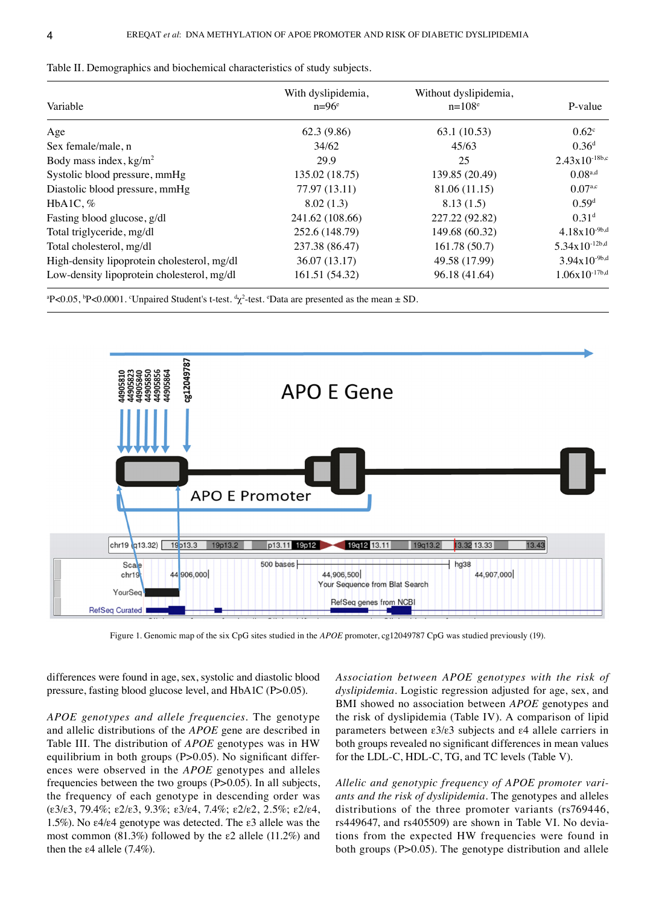| Variable                                    | With dyslipidemia,<br>$n=96^e$ | Without dyslipidemia,<br>$n = 108^e$ | P-value            |
|---------------------------------------------|--------------------------------|--------------------------------------|--------------------|
| Age                                         | 62.3 (9.86)                    | 63.1 (10.53)                         | $0.62^{\circ}$     |
| Sex female/male, n                          | 34/62                          | 45/63                                | 0.36 <sup>d</sup>  |
| Body mass index, $kg/m2$                    | 29.9                           | 25                                   | $2.43x10^{-18b,c}$ |
| Systolic blood pressure, mmHg               | 135.02 (18.75)                 | 139.85 (20.49)                       | $0.08^{a,d}$       |
| Diastolic blood pressure, mmHg              | 77.97 (13.11)                  | 81.06 (11.15)                        | $0.07^{a,c}$       |
| HbA1C, $%$                                  | 8.02(1.3)                      | 8.13(1.5)                            | 0.59 <sup>d</sup>  |
| Fasting blood glucose, g/dl                 | 241.62 (108.66)                | 227.22 (92.82)                       | 0.31 <sup>d</sup>  |
| Total triglyceride, mg/dl                   | 252.6 (148.79)                 | 149.68 (60.32)                       | $4.18x10^{-9b,d}$  |
| Total cholesterol, mg/dl                    | 237.38 (86.47)                 | 161.78(50.7)                         | $5.34x10^{-12b,d}$ |
| High-density lipoprotein cholesterol, mg/dl | 36.07 (13.17)                  | 49.58 (17.99)                        | $3.94x10^{-9b,d}$  |
| Low-density lipoprotein cholesterol, mg/dl  | 161.51 (54.32)                 | 96.18 (41.64)                        | $1.06x10^{-17b,d}$ |

Table II. Demographics and biochemical characteristics of study subjects.

ªP<0.05, <sup>b</sup>P<0.0001. °Unpaired Student's t-test. <sup>d</sup>χ<sup>2</sup>-test. °Data are presented as the mean ± SD.



Figure 1. Genomic map of the six CpG sites studied in the *APOE* promoter, cg12049787 CpG was studied previously (19).

differences were found in age, sex, systolic and diastolic blood pressure, fasting blood glucose level, and HbA1C (P>0.05).

*APOE genotypes and allele frequencies.* The genotype and allelic distributions of the *APOE* gene are described in Table III. The distribution of *APOE* genotypes was in HW equilibrium in both groups  $(P>0.05)$ . No significant differences were observed in the *APOE* genotypes and alleles frequencies between the two groups (P>0.05). In all subjects, the frequency of each genotype in descending order was (ε3/ε3, 79.4%; ε2/ε3, 9.3%; ε3/ε4, 7.4%; ε2/ε2, 2.5%; ε2/ε4, 1.5%). No ε4/ε4 genotype was detected. The ε3 allele was the most common (81.3%) followed by the ε2 allele (11.2%) and then the  $\varepsilon$ 4 allele (7.4%).

*Association between APOE genotypes with the risk of dyslipidemia.* Logistic regression adjusted for age, sex, and BMI showed no association between *APOE* genotypes and the risk of dyslipidemia (Table IV). A comparison of lipid parameters between ε3/ε3 subjects and ε4 allele carriers in both groups revealed no significant differences in mean values for the LDL-C, HDL-C, TG, and TC levels (Table V).

*Allelic and genotypic frequency of APOE promoter variants and the risk of dyslipidemia.* The genotypes and alleles distributions of the three promoter variants (rs769446, rs449647, and rs405509) are shown in Table VI. No deviations from the expected HW frequencies were found in both groups (P>0.05). The genotype distribution and allele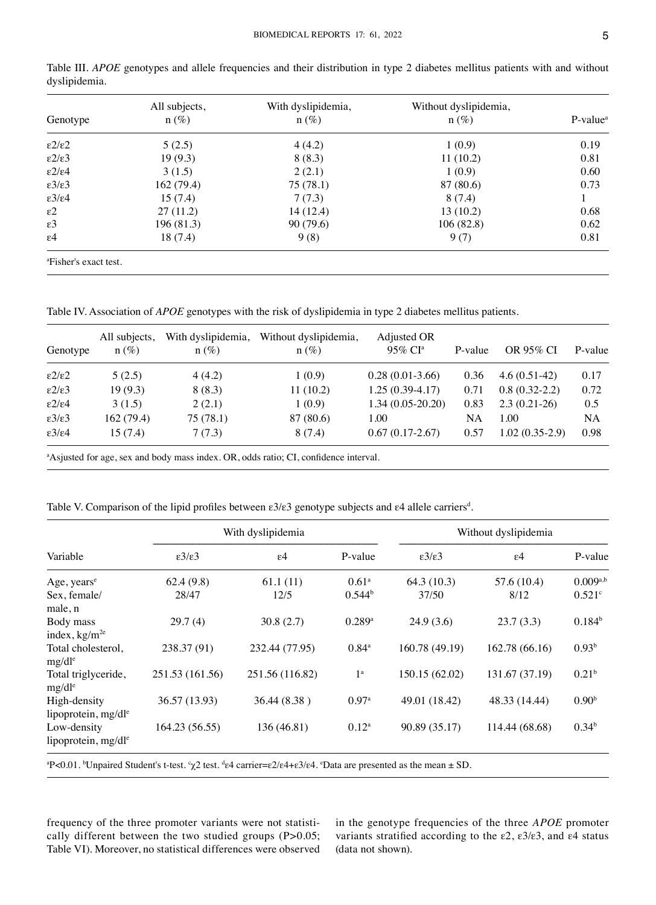| Genotype                       | All subjects,<br>$n (\%)$ | With dyslipidemia,<br>$n(\%)$ | Without dyslipidemia,<br>$n(\%)$ | P-value <sup>a</sup> |
|--------------------------------|---------------------------|-------------------------------|----------------------------------|----------------------|
| $\epsilon$ 2/ $\epsilon$ 2     | 5(2.5)                    | 4(4.2)                        | 1(0.9)                           | 0.19                 |
| $\epsilon$ 2/ $\epsilon$ 3     | 19(9.3)                   | 8(8.3)                        | 11(10.2)                         | 0.81                 |
| $\epsilon$ 2/ $\epsilon$ 4     | 3(1.5)                    | 2(2.1)                        | 1(0.9)                           | 0.60                 |
| $\epsilon 3/\epsilon 3$        | 162(79.4)                 | 75(78.1)                      | 87 (80.6)                        | 0.73                 |
| $\epsilon$ 3/ $\epsilon$ 4     | 15(7.4)                   | 7(7.3)                        | 8(7.4)                           |                      |
| $\varepsilon$ 2                | 27(11.2)                  | 14(12.4)                      | 13(10.2)                         | 0.68                 |
| $\varepsilon$ 3                | 196(81.3)                 | 90(79.6)                      | 106(82.8)                        | 0.62                 |
| $\varepsilon$ 4                | 18(7.4)                   | 9(8)                          | 9(7)                             | 0.81                 |
| $a_{\text{Eichow}}$ avect toot |                           |                               |                                  |                      |

Table III. *APOE* genotypes and allele frequencies and their distribution in type 2 diabetes mellitus patients with and without dyslipidemia.

a Fisher's exact test.

Table IV. Association of *APOE* genotypes with the risk of dyslipidemia in type 2 diabetes mellitus patients.

| Genotype                   | All subjects,<br>$n(\%)$ | With dyslipidemia,<br>$n(\%)$ | Without dyslipidemia,<br>$n(\%)$ | Adjusted OR<br>$95\%$ CI <sup>a</sup> | P-value | OR 95% CI        | P-value |
|----------------------------|--------------------------|-------------------------------|----------------------------------|---------------------------------------|---------|------------------|---------|
| $\epsilon$ 2/ $\epsilon$ 2 | 5(2.5)                   | 4(4.2)                        | 1(0.9)                           | $0.28(0.01-3.66)$                     | 0.36    | $4.6(0.51-42)$   | 0.17    |
| $\epsilon$ 2/ $\epsilon$ 3 | 19(9.3)                  | 8 (8.3)                       | 11(10.2)                         | $1.25(0.39-4.17)$                     | 0.71    | $0.8(0.32-2.2)$  | 0.72    |
| $\epsilon$ 2/ $\epsilon$ 4 | 3(1.5)                   | 2(2.1)                        | 1(0.9)                           | $1.34(0.05-20.20)$                    | 0.83    | $2.3(0.21-26)$   | 0.5     |
| $\epsilon$ 3/ $\epsilon$ 3 | 162(79.4)                | 75(78.1)                      | 87 (80.6)                        | 1.00                                  | NA      | 1.00             | NA      |
| $\epsilon$ 3/ $\epsilon$ 4 | 15(7.4)                  | 7(7.3)                        | 8 (7.4)                          | $0.67(0.17-2.67)$                     | 0.57    | $1.02(0.35-2.9)$ | 0.98    |

a Asjusted for age, sex and body mass index. OR, odds ratio; CI, confidence interval.

Table V. Comparison of the lipid profiles between ε3/ε3 genotype subjects and ε4 allele carriers<sup>d</sup>.

|                                                 |                            | With dyslipidemia | Without dyslipidemia |                            |                 |                      |
|-------------------------------------------------|----------------------------|-------------------|----------------------|----------------------------|-----------------|----------------------|
| Variable                                        | $\epsilon$ 3/ $\epsilon$ 3 | $\varepsilon$ 4   | P-value              | $\epsilon$ 3/ $\epsilon$ 3 | $\varepsilon$ 4 | P-value              |
| Age, years <sup>e</sup>                         | 62.4(9.8)                  | 61.1(11)          | $0.61^{\circ}$       | 64.3(10.3)                 | 57.6 (10.4)     | $0.009^{a,b}$        |
| Sex, female/<br>male, n                         | 28/47                      | 12/5              | 0.544 <sup>b</sup>   | 37/50                      | 8/12            | $0.521$ <sup>c</sup> |
| Body mass<br>index, $kg/m^{2e}$                 | 29.7(4)                    | 30.8(2.7)         | $0.289$ <sup>a</sup> | 24.9(3.6)                  | 23.7(3.3)       | $0.184^{b}$          |
| Total cholesterol,<br>$mg/dl^e$                 | 238.37 (91)                | 232.44 (77.95)    | $0.84^{\circ}$       | 160.78 (49.19)             | 162.78 (66.16)  | 0.93 <sup>b</sup>    |
| Total triglyceride,<br>$mg/dl^e$                | 251.53 (161.56)            | 251.56 (116.82)   | 1 <sup>a</sup>       | 150.15 (62.02)             | 131.67 (37.19)  | 0.21 <sup>b</sup>    |
| High-density<br>lipoprotein, mg/dl <sup>e</sup> | 36.57 (13.93)              | 36.44 (8.38)      | $0.97$ <sup>a</sup>  | 49.01 (18.42)              | 48.33 (14.44)   | 0.90 <sup>b</sup>    |
| Low-density<br>lipoprotein, mg/dl <sup>e</sup>  | 164.23 (56.55)             | 136 (46.81)       | $0.12^{\rm a}$       | 90.89 (35.17)              | 114.44 (68.68)  | 0.34 <sup>b</sup>    |

 $P < 0.01$ . bUnpaired Student's t-test.  $\gamma 2$  test.  $\frac{d}{2}$  carrier= $\epsilon 2/\epsilon 4 + \epsilon 3/\epsilon 4$ .  $\epsilon$ Data are presented as the mean  $\pm$  SD.

frequency of the three promoter variants were not statistically different between the two studied groups (P>0.05; Table VI). Moreover, no statistical differences were observed in the genotype frequencies of the three *APOE* promoter variants stratified according to the ε2, ε3/ε3, and ε4 status (data not shown).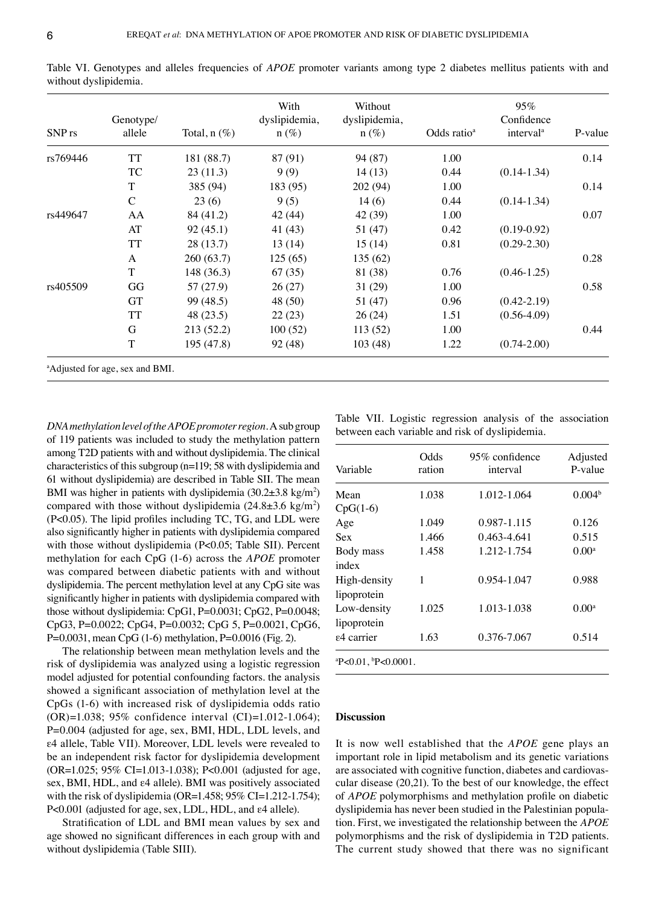| SNP <sub>rs</sub> | Genotype/<br>allele                         | Total, $n$ $(\%)$ | With<br>dyslipidemia,<br>$n(\%)$ | Without<br>dyslipidemia,<br>$n(\%)$ | Odds ratio <sup>a</sup> | 95%<br>Confidence<br>interval <sup>a</sup> | P-value |
|-------------------|---------------------------------------------|-------------------|----------------------------------|-------------------------------------|-------------------------|--------------------------------------------|---------|
| rs769446          | <b>TT</b>                                   | 181 (88.7)        | 87 (91)                          | 94 (87)                             | 1.00                    |                                            | 0.14    |
|                   | TC                                          | 23(11.3)          | 9(9)                             | 14(13)                              | 0.44                    | $(0.14-1.34)$                              |         |
|                   | T                                           | 385 (94)          | 183 (95)                         | 202 (94)                            | 1.00                    |                                            | 0.14    |
|                   | $\mathcal{C}$                               | 23(6)             | 9(5)                             | 14(6)                               | 0.44                    | $(0.14-1.34)$                              |         |
| rs449647          | AA                                          | 84 (41.2)         | 42(44)                           | 42 (39)                             | 1.00                    |                                            | 0.07    |
|                   | AT                                          | 92(45.1)          | 41(43)                           | 51 (47)                             | 0.42                    | $(0.19 - 0.92)$                            |         |
|                   | TT                                          | 28(13.7)          | 13(14)                           | 15(14)                              | 0.81                    | $(0.29 - 2.30)$                            |         |
|                   | A                                           | 260 (63.7)        | 125(65)                          | 135(62)                             |                         |                                            | 0.28    |
|                   | T                                           | 148 (36.3)        | 67(35)                           | 81 (38)                             | 0.76                    | $(0.46 - 1.25)$                            |         |
| rs405509          | GG                                          | 57 (27.9)         | 26(27)                           | 31(29)                              | 1.00                    |                                            | 0.58    |
|                   | <b>GT</b>                                   | 99 (48.5)         | 48 (50)                          | 51 (47)                             | 0.96                    | $(0.42 - 2.19)$                            |         |
|                   | TT                                          | 48 (23.5)         | 22(23)                           | 26(24)                              | 1.51                    | $(0.56 - 4.09)$                            |         |
|                   | G                                           | 213 (52.2)        | 100(52)                          | 113(52)                             | 1.00                    |                                            | 0.44    |
|                   | T                                           | 195 (47.8)        | 92 (48)                          | 103(48)                             | 1.22                    | $(0.74 - 2.00)$                            |         |
|                   | <sup>a</sup> Adjusted for age, sex and BMI. |                   |                                  |                                     |                         |                                            |         |

Table VI. Genotypes and alleles frequencies of *APOE* promoter variants among type 2 diabetes mellitus patients with and without dyslipidemia.

*DNA methylation level of the APOE promoter region.* A sub group of 119 patients was included to study the methylation pattern among T2D patients with and without dyslipidemia. The clinical characteristics of this subgroup (n=119; 58 with dyslipidemia and 61 without dyslipidemia) are described in Table SII. The mean BMI was higher in patients with dyslipidemia  $(30.2 \pm 3.8 \text{ kg/m}^2)$ compared with those without dyslipidemia  $(24.8 \pm 3.6 \text{ kg/m}^2)$ (P<0.05). The lipid profiles including TC, TG, and LDL were also significantly higher in patients with dyslipidemia compared with those without dyslipidemia (P<0.05; Table SII). Percent methylation for each CpG (1‑6) across the *APOE* promoter was compared between diabetic patients with and without dyslipidemia. The percent methylation level at any CpG site was significantly higher in patients with dyslipidemia compared with those without dyslipidemia: CpG1, P=0.0031; CpG2, P=0.0048; CpG3, P=0.0022; CpG4, P=0.0032; CpG 5, P=0.0021, CpG6, P=0.0031, mean CpG (1‑6) methylation, P=0.0016 (Fig. 2).

The relationship between mean methylation levels and the risk of dyslipidemia was analyzed using a logistic regression model adjusted for potential confounding factors. the analysis showed a significant association of methylation level at the CpGs (1‑6) with increased risk of dyslipidemia odds ratio (OR)=1.038; 95% confidence interval (CI)=1.012-1.064); P=0.004 (adjusted for age, sex, BMI, HDL, LDL levels, and ε4 allele, Table VII). Moreover, LDL levels were revealed to be an independent risk factor for dyslipidemia development (OR=1.025; 95% CI=1.013‑1.038); P<0.001 (adjusted for age, sex, BMI, HDL, and ε4 allele). BMI was positively associated with the risk of dyslipidemia (OR=1.458;  $95\%$  CI=1.212-1.754); P<0.001 (adjusted for age, sex, LDL, HDL, and ε4 allele).

Stratification of LDL and BMI mean values by sex and age showed no significant differences in each group with and without dyslipidemia (Table SIII).

Table VII. Logistic regression analysis of the association between each variable and risk of dyslipidemia.

| Variable                    | Odds<br>ration | 95% confidence<br>interval | Adjusted<br>P-value |
|-----------------------------|----------------|----------------------------|---------------------|
| Mean                        | 1.038          | 1.012-1.064                | 0.004 <sup>b</sup>  |
| $CpG(1-6)$                  |                |                            |                     |
| Age                         | 1.049          | 0.987-1.115                | 0.126               |
| Sex                         | 1.466          | 0.463-4.641                | 0.515               |
| Body mass                   | 1.458          | 1.212-1.754                | $0.00^{\rm a}$      |
| index                       |                |                            |                     |
| High-density                | 1              | 0.954-1.047                | 0.988               |
| lipoprotein                 |                |                            |                     |
| Low-density                 | 1.025          | 1.013-1.038                | $0.00^{\rm a}$      |
| lipoprotein                 |                |                            |                     |
| ε4 carrier                  | 1.63           | 0.376-7.067                | 0.514               |
| $P < 0.01$ , $P < 0.0001$ . |                |                            |                     |

# **Discussion**

It is now well established that the *APOE* gene plays an important role in lipid metabolism and its genetic variations are associated with cognitive function, diabetes and cardiovascular disease (20,21). To the best of our knowledge, the effect of *APOE* polymorphisms and methylation profile on diabetic dyslipidemia has never been studied in the Palestinian population. First, we investigated the relationship between the *APOE* polymorphisms and the risk of dyslipidemia in T2D patients. The current study showed that there was no significant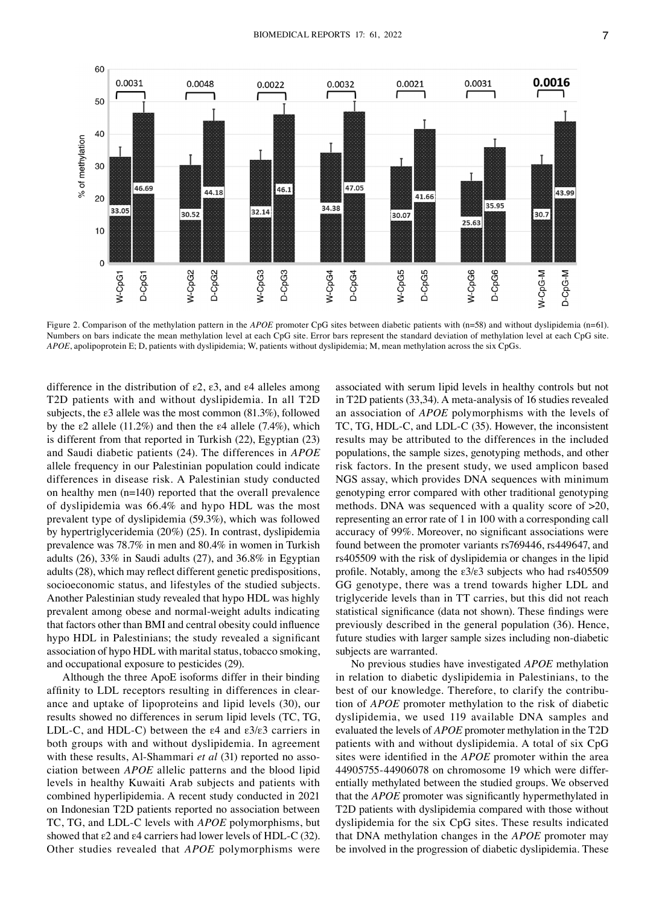

Figure 2. Comparison of the methylation pattern in the *APOE* promoter CpG sites between diabetic patients with (n=58) and without dyslipidemia (n=61). Numbers on bars indicate the mean methylation level at each CpG site. Error bars represent the standard deviation of methylation level at each CpG site. *APOE*, apolipoprotein E; D, patients with dyslipidemia; W, patients without dyslipidemia; M, mean methylation across the six CpGs.

difference in the distribution of ε2, ε3, and ε4 alleles among T2D patients with and without dyslipidemia. In all T2D subjects, the ε3 allele was the most common (81.3%), followed by the ε2 allele (11.2%) and then the ε4 allele (7.4%), which is different from that reported in Turkish (22), Egyptian (23) and Saudi diabetic patients (24). The differences in *APOE* allele frequency in our Palestinian population could indicate differences in disease risk. A Palestinian study conducted on healthy men (n=140) reported that the overall prevalence of dyslipidemia was 66.4% and hypo HDL was the most prevalent type of dyslipidemia (59.3%), which was followed by hypertriglyceridemia (20%) (25). In contrast, dyslipidemia prevalence was 78.7% in men and 80.4% in women in Turkish adults (26), 33% in Saudi adults (27), and 36.8% in Egyptian adults (28), which may reflect different genetic predispositions, socioeconomic status, and lifestyles of the studied subjects. Another Palestinian study revealed that hypo HDL was highly prevalent among obese and normal‑weight adults indicating that factors other than BMI and central obesity could influence hypo HDL in Palestinians; the study revealed a significant association of hypo HDL with marital status, tobacco smoking, and occupational exposure to pesticides (29).

Although the three ApoE isoforms differ in their binding affinity to LDL receptors resulting in differences in clearance and uptake of lipoproteins and lipid levels (30), our results showed no differences in serum lipid levels (TC, TG, LDL-C, and HDL-C) between the  $\varepsilon$ 4 and  $\varepsilon$ 3/ $\varepsilon$ 3 carriers in both groups with and without dyslipidemia. In agreement with these results, Al-Shammari *et al* (31) reported no association between *APOE* allelic patterns and the blood lipid levels in healthy Kuwaiti Arab subjects and patients with combined hyperlipidemia. A recent study conducted in 2021 on Indonesian T2D patients reported no association between TC, TG, and LDL‑C levels with *APOE* polymorphisms, but showed that  $\epsilon$ 2 and  $\epsilon$ 4 carriers had lower levels of HDL-C (32). Other studies revealed that *APOE* polymorphisms were associated with serum lipid levels in healthy controls but not in T2D patients (33,34). A meta-analysis of 16 studies revealed an association of *APOE* polymorphisms with the levels of TC, TG, HDL-C, and LDL-C (35). However, the inconsistent results may be attributed to the differences in the included populations, the sample sizes, genotyping methods, and other risk factors. In the present study, we used amplicon based NGS assay, which provides DNA sequences with minimum genotyping error compared with other traditional genotyping methods. DNA was sequenced with a quality score of >20, representing an error rate of 1 in 100 with a corresponding call accuracy of 99%. Moreover, no significant associations were found between the promoter variants rs769446, rs449647, and rs405509 with the risk of dyslipidemia or changes in the lipid profile. Notably, among the ε3/ε3 subjects who had rs405509 GG genotype, there was a trend towards higher LDL and triglyceride levels than in TT carries, but this did not reach statistical significance (data not shown). These findings were previously described in the general population (36). Hence, future studies with larger sample sizes including non-diabetic subjects are warranted.

No previous studies have investigated *APOE* methylation in relation to diabetic dyslipidemia in Palestinians, to the best of our knowledge. Therefore, to clarify the contribution of *APOE* promoter methylation to the risk of diabetic dyslipidemia, we used 119 available DNA samples and evaluated the levels of *APOE* promoter methylation in the T2D patients with and without dyslipidemia. A total of six CpG sites were identified in the *APOE* promoter within the area 44905755‑44906078 on chromosome 19 which were differ‑ entially methylated between the studied groups. We observed that the *APOE* promoter was significantly hypermethylated in T2D patients with dyslipidemia compared with those without dyslipidemia for the six CpG sites. These results indicated that DNA methylation changes in the *APOE* promoter may be involved in the progression of diabetic dyslipidemia. These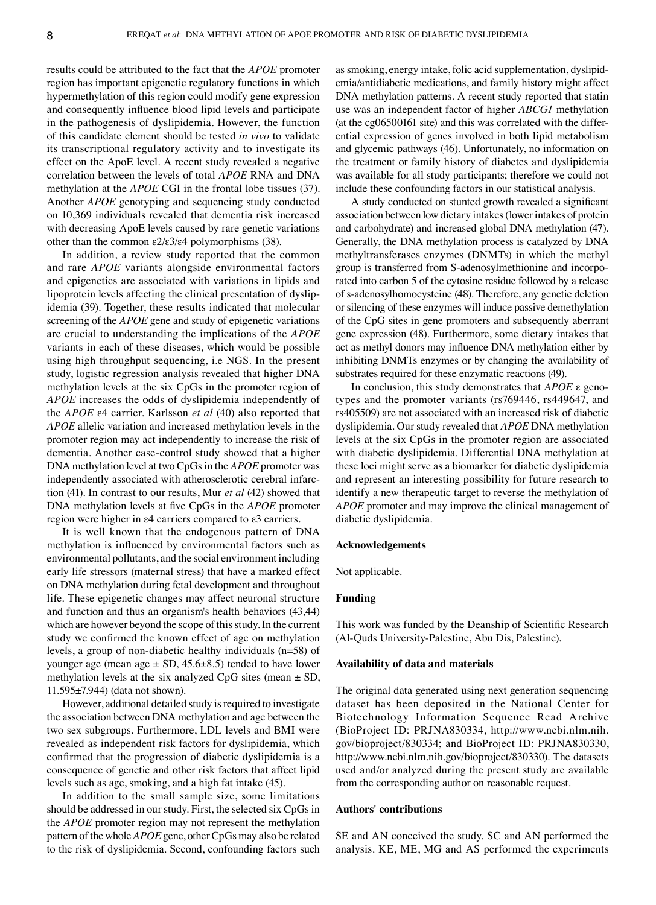results could be attributed to the fact that the *APOE* promoter region has important epigenetic regulatory functions in which hypermethylation of this region could modify gene expression and consequently influence blood lipid levels and participate in the pathogenesis of dyslipidemia. However, the function of this candidate element should be tested *in vivo* to validate its transcriptional regulatory activity and to investigate its effect on the ApoE level. A recent study revealed a negative correlation between the levels of total *APOE* RNA and DNA methylation at the *APOE* CGI in the frontal lobe tissues (37). Another *APOE* genotyping and sequencing study conducted on 10,369 individuals revealed that dementia risk increased with decreasing ApoE levels caused by rare genetic variations other than the common  $\epsilon 2/\epsilon 3/\epsilon 4$  polymorphisms (38).

In addition, a review study reported that the common and rare *APOE* variants alongside environmental factors and epigenetics are associated with variations in lipids and lipoprotein levels affecting the clinical presentation of dyslip– idemia (39). Together, these results indicated that molecular screening of the *APOE* gene and study of epigenetic variations are crucial to understanding the implications of the *APOE* variants in each of these diseases, which would be possible using high throughput sequencing, i.e NGS. In the present study, logistic regression analysis revealed that higher DNA methylation levels at the six CpGs in the promoter region of *APOE* increases the odds of dyslipidemia independently of the *APOE* ε4 carrier. Karlsson *et al* (40) also reported that *APOE* allelic variation and increased methylation levels in the promoter region may act independently to increase the risk of dementia. Another case‑control study showed that a higher DNA methylation level at two CpGs in the *APOE* promoter was independently associated with atherosclerotic cerebral infarction (41). In contrast to our results, Mur *et al* (42) showed that DNA methylation levels at five CpGs in the *APOE* promoter region were higher in ε4 carriers compared to ε3 carriers.

It is well known that the endogenous pattern of DNA methylation is influenced by environmental factors such as environmental pollutants, and the social environment including early life stressors (maternal stress) that have a marked effect on DNA methylation during fetal development and throughout life. These epigenetic changes may affect neuronal structure and function and thus an organism's health behaviors (43,44) which are however beyond the scope of this study. In the current study we confirmed the known effect of age on methylation levels, a group of non‑diabetic healthy individuals (n=58) of younger age (mean age  $\pm$  SD, 45.6 $\pm$ 8.5) tended to have lower methylation levels at the six analyzed CpG sites (mean  $\pm$  SD, 11.595±7.944) (data not shown).

However, additional detailed study is required to investigate the association between DNA methylation and age between the two sex subgroups. Furthermore, LDL levels and BMI were revealed as independent risk factors for dyslipidemia, which confirmed that the progression of diabetic dyslipidemia is a consequence of genetic and other risk factors that affect lipid levels such as age, smoking, and a high fat intake (45).

In addition to the small sample size, some limitations should be addressed in our study. First, the selected six CpGs in the *APOE* promoter region may not represent the methylation pattern of the whole *APOE* gene, other CpGs may also be related to the risk of dyslipidemia. Second, confounding factors such as smoking, energy intake, folic acid supplementation, dyslipidemia/antidiabetic medications, and family history might affect DNA methylation patterns. A recent study reported that statin use was an independent factor of higher *ABCG1* methylation (at the  $cg06500161$  site) and this was correlated with the differential expression of genes involved in both lipid metabolism and glycemic pathways (46). Unfortunately, no information on the treatment or family history of diabetes and dyslipidemia was available for all study participants; therefore we could not include these confounding factors in our statistical analysis.

A study conducted on stunted growth revealed a significant association between low dietary intakes (lower intakes of protein and carbohydrate) and increased global DNA methylation (47). Generally, the DNA methylation process is catalyzed by DNA methyltransferases enzymes (DNMTs) in which the methyl group is transferred from S-adenosylmethionine and incorporated into carbon 5 of the cytosine residue followed by a release of s‑adenosylhomocysteine (48). Therefore, any genetic deletion or silencing of these enzymes will induce passive demethylation of the CpG sites in gene promoters and subsequently aberrant gene expression (48). Furthermore, some dietary intakes that act as methyl donors may influence DNA methylation either by inhibiting DNMTs enzymes or by changing the availability of substrates required for these enzymatic reactions (49).

In conclusion, this study demonstrates that *APOE* ε genotypes and the promoter variants (rs769446, rs449647, and rs405509) are not associated with an increased risk of diabetic dyslipidemia. Our study revealed that *APOE* DNA methylation levels at the six CpGs in the promoter region are associated with diabetic dyslipidemia. Differential DNA methylation at these loci might serve as a biomarker for diabetic dyslipidemia and represent an interesting possibility for future research to identify a new therapeutic target to reverse the methylation of *APOE* promoter and may improve the clinical management of diabetic dyslipidemia.

#### **Acknowledgements**

Not applicable.

## **Funding**

This work was funded by the Deanship of Scientific Research (Al‑Quds University‑Palestine, Abu Dis, Palestine).

## **Availability of data and materials**

The original data generated using next generation sequencing dataset has been deposited in the National Center for Biotechnology Information Sequence Read Archive (BioProject ID: PRJNA830334, http://www.ncbi.nlm.nih. gov/bioproject/830334; and BioProject ID: PRJNA830330, http://www.ncbi.nlm.nih.gov/bioproject/830330). The datasets used and/or analyzed during the present study are available from the corresponding author on reasonable request.

## **Authors' contributions**

SE and AN conceived the study. SC and AN performed the analysis. KE, ME, MG and AS performed the experiments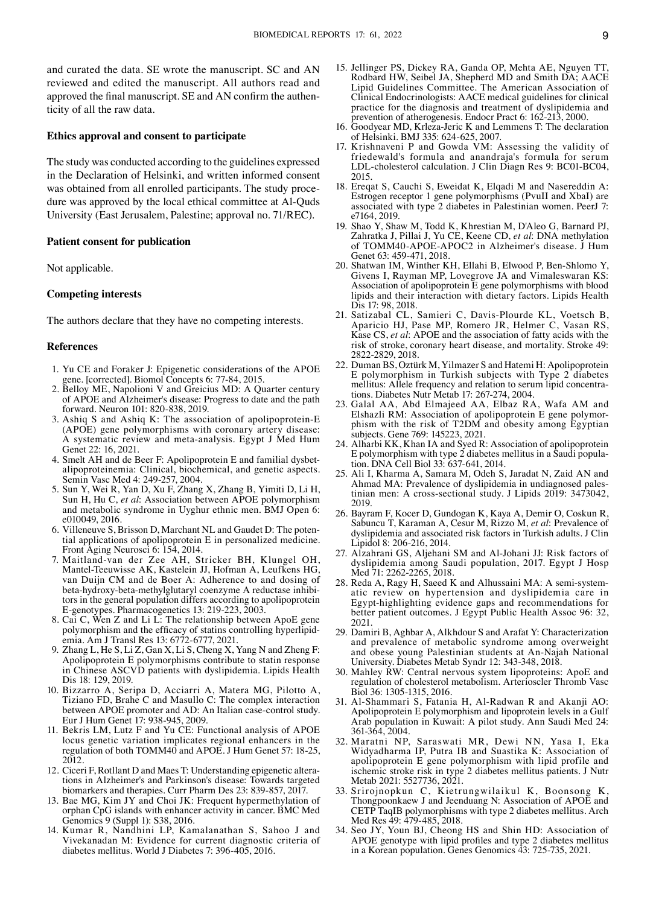and curated the data. SE wrote the manuscript. SC and AN reviewed and edited the manuscript. All authors read and approved the final manuscript. SE and AN confirm the authenticity of all the raw data.

## **Ethics approval and consent to participate**

The study was conducted according to the guidelines expressed in the Declaration of Helsinki, and written informed consent was obtained from all enrolled participants. The study procedure was approved by the local ethical committee at Al-Ouds University (East Jerusalem, Palestine; approval no. 71/REC).

#### **Patient consent for publication**

Not applicable.

## **Competing interests**

The authors declare that they have no competing interests.

#### **References**

- 1. Yu CE and Foraker J: Epigenetic considerations of the APOE gene. [corrected]. Biomol Concepts 6: 77‑84, 2015.
- 2. Belloy ME, Napolioni V and Greicius MD: A Quarter century of APOE and Alzheimer's disease: Progress to date and the path forward. Neuron 101: 820‑838, 2019.
- 3. Ashiq S and Ashiq K: The association of apolipoprotein‑E (APOE) gene polymorphisms with coronary artery disease: A systematic review and meta‑analysis. Egypt J Med Hum Genet 22: 16, 2021.
- 4. Smelt AH and de Beer F: Apolipoprotein E and familial dysbetalipoproteinemia: Clinical, biochemical, and genetic aspects. Semin Vasc Med 4: 249‑257, 2004.
- 5. Sun Y, Wei R, Yan D, Xu F, Zhang X, Zhang B, Yimiti D, Li H, Sun H, Hu C, *et al*: Association between APOE polymorphism and metabolic syndrome in Uyghur ethnic men. BMJ Open 6: e010049, 2016.
- 6. Villeneuve S, Brisson D, Marchant NL and Gaudet D: The poten‑ tial applications of apolipoprotein E in personalized medicine. Front Aging Neurosci 6: 154, 2014.
- 7. Maitland‑van der Zee AH, Stricker BH, Klungel OH, Mantel‑Teeuwisse AK, Kastelein JJ, Hofman A, Leufkens HG, van Duijn CM and de Boer A: Adherence to and dosing of beta-hydroxy-beta-methylglutaryl coenzyme A reductase inhibitors in the general population differs according to apolipoprotein E‑genotypes. Pharmacogenetics 13: 219‑223, 2003.
- 8. Cai C, Wen Z and Li L: The relationship between ApoE gene polymorphism and the efficacy of statins controlling hyperlipidemia. Am J Transl Res 13: 6772-6777, 2021.
- 9. Zhang L, He S, Li Z, Gan X, Li S, Cheng X, Yang N and Zheng F: Apolipoprotein E polymorphisms contribute to statin response in Chinese ASCVD patients with dyslipidemia. Lipids Health Dis 18: 129, 2019.
- 10. Bizzarro A, Seripa D, Acciarri A, Matera MG, Pilotto A, Tiziano FD, Brahe C and Masullo C: The complex interaction between APOE promoter and AD: An Italian case-control study. Eur J Hum Genet 17: 938‑945, 2009.
- 11. Bekris LM, Lutz F and Yu CE: Functional analysis of APOE locus genetic variation implicates regional enhancers in the regulation of both TOMM40 and APOE. J Hum Genet 57: 18‑25, 2012.
- 12. Ciceri F, Rotllant D and Maes T: Understanding epigenetic altera‑ tions in Alzheimer's and Parkinson's disease: Towards targeted biomarkers and therapies. Curr Pharm Des 23: 839-857, 2017.
- 13. Bae MG, Kim JY and Choi JK: Frequent hypermethylation of orphan CpG islands with enhancer activity in cancer. BMC Med Genomics 9 (Suppl 1): S38, 2016.
- 14. Kumar R, Nandhini LP, Kamalanathan S, Sahoo J and Vivekanadan M: Evidence for current diagnostic criteria of diabetes mellitus. World J Diabetes 7: 396‑405, 2016.
- 15. Jellinger PS, Dickey RA, Ganda OP, Mehta AE, Nguyen TT, Rodbard HW, Seibel JA, Shepherd MD and Smith DA; AACE Lipid Guidelines Committee. The American Association of Clinical Endocrinologists: AACE medical guidelines for clinical practice for the diagnosis and treatment of dyslipidemia and prevention of atherogenesis. Endocr Pract 6: 162‑213, 2000.
- 16. Goodyear MD, Krleza‑Jeric K and Lemmens T: The declaration of Helsinki. BMJ 335: 624‑625, 2007.
- 17. Krishnaveni P and Gowda VM: Assessing the validity of friedewald's formula and anandraja's formula for serum LDL‑cholesterol calculation. J Clin Diagn Res 9: BC01‑BC04, 2015.
- 18. Ereqat S, Cauchi S, Eweidat K, Elqadi M and Nasereddin A: Estrogen receptor 1 gene polymorphisms (PvuII and XbaI) are associated with type 2 diabetes in Palestinian women. PeerJ 7: e7164, 2019.
- 19. Shao Y, Shaw M, Todd K, Khrestian M, D'Aleo G, Barnard PJ, Zahratka J, Pillai J, Yu CE, Keene CD, *et al*: DNA methylation of TOMM40‑APOE‑APOC2 in Alzheimer's disease. J Hum Genet 63: 459-471, 2018.
- 20. Shatwan IM, Winther KH, Ellahi B, Elwood P, Ben‑Shlomo Y, Givens I, Rayman MP, Lovegrove JA and Vimaleswaran KS: Association of apolipoprotein E gene polymorphisms with blood lipids and their interaction with dietary factors. Lipids Health  $\hat{\text{Dis}}$  17: 98, 2018.
- 21. Satizabal CL, Samieri C, Davis‑Plourde KL, Voetsch B, Aparicio HJ, Pase MP, Romero JR, Helmer C, Vasan RS, Kase CS, *et al*: APOE and the association of fatty acids with the risk of stroke, coronary heart disease, and mortality. Stroke 49: 2822‑2829, 2018.
- 22. Duman BS, Oztürk M, Yilmazer S and Hatemi H: Apolipoprotein E polymorphism in Turkish subjects with Type 2 diabetes mellitus: Allele frequency and relation to serum lipid concentrations. Diabetes Nutr Metab 17: 267‑274, 2004.
- 23. Galal AA, Abd Elmajeed AA, Elbaz RA, Wafa AM and Elshazli RM: Association of apolipoprotein E gene polymor‑ phism with the risk of T2DM and obesity among Egyptian subjects. Gene 769: 145223, 2021.
- 24. Alharbi KK, Khan IA and Syed R: Association of apolipoprotein E polymorphism with type 2 diabetes mellitus in a Saudi popula‑ tion. DNA Cell Biol 33: 637‑641, 2014.
- 25. Ali I, Kharma A, Samara M, Odeh S, Jaradat N, Zaid AN and Ahmad MA: Prevalence of dyslipidemia in undiagnosed palestinian men: A cross‑sectional study. J Lipids 2019: 3473042, 2019.
- 26. Bayram F, Kocer D, Gundogan K, Kaya A, Demir O, Coskun R, Sabuncu T, Karaman A, Cesur M, Rizzo M, *et al*: Prevalence of dyslipidemia and associated risk factors in Turkish adults. J Clin Lipidol 8: 206‑216, 2014.
- 27. Alzahrani GS, Aljehani SM and Al‑Johani JJ: Risk factors of dyslipidemia among Saudi population, 2017. Egypt J Hosp Med 71: 2262‑2265, 2018.
- 28. Reda A, Ragy H, Saeed K and Alhussaini MA: A semi-systematic review on hypertension and dyslipidemia care in Egypt-highlighting evidence gaps and recommendations for better patient outcomes. J Egypt Public Health Assoc 96: 32, 2021.
- 29. Damiri B, Aghbar A, Alkhdour S and Arafat Y: Characterization and prevalence of metabolic syndrome among overweight and obese young Palestinian students at An‑Najah National University. Diabetes Metab Syndr 12: 343‑348, 2018.
- 30. Mahley RW: Central nervous system lipoproteins: ApoE and regulation of cholesterol metabolism. Arterioscler Thromb Vasc Biol 36: 1305‑1315, 2016.
- 31. Al‑Shammari S, Fatania H, Al‑Radwan R and Akanji AO: Apolipoprotein E polymorphism and lipoprotein levels in a Gulf Arab population in Kuwait: A pilot study. Ann Saudi Med 24: 361‑364, 2004.
- 32. Maratni NP, Saraswati MR, Dewi NN, Yasa I, Eka Widyadharma IP, Putra IB and Suastika K: Association of apolipoprotein E gene polymorphism with lipid profile and ischemic stroke risk in type 2 diabetes mellitus patients. J Nutr Metab 2021: 5527736, 2021.
- 33. Srirojnopkun C, Kietrungwilaikul K, Boonsong K, Thongpoonkaew J and Jeenduang N: Association of APOE and CETP TaqIB polymorphisms with type 2 diabetes mellitus. Arch Med Res 49: 479‑485, 2018.
- 34. Seo JY, Youn BJ, Cheong HS and Shin HD: Association of APOE genotype with lipid profiles and type 2 diabetes mellitus in a Korean population. Genes Genomics 43: 725‑735, 2021.